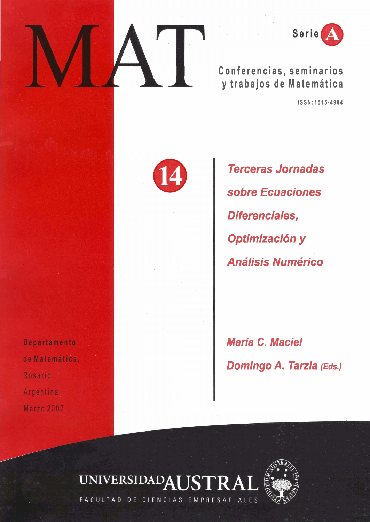

**Conferencias, seminarios y trabajos de Matematica** 

**ISSN: 1515-4904** 



**Terceras Jornadas sobre Ecuaciones Diferenciales, Optimización y A nalisis Numerico** 

**Maria C. Maciel Domingo A. Tarzia (Eds.)** 

Departamento de Matemática, Rosario. Argentina **Marzo 2007** 





FACULTAD DE CIENCIAS EMPRESARIALES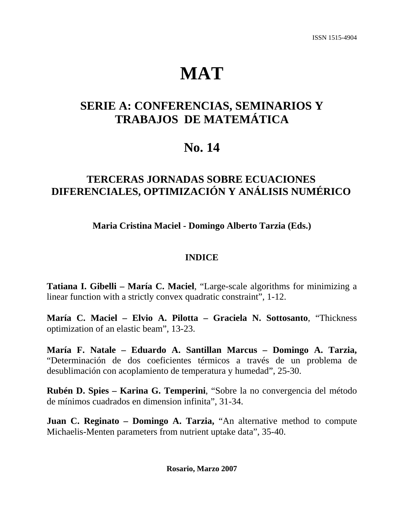# **MAT**

# **SERIE A: CONFERENCIAS, SEMINARIOS Y TRABAJOS DE MATEMÁTICA**

# **No. 14**

## **TERCERAS JORNADAS SOBRE ECUACIONES DIFERENCIALES, OPTIMIZACIÓN Y ANÁLISIS NUMÉRICO**

**Maria Cristina Maciel - Domingo Alberto Tarzia (Eds.)** 

#### **INDICE**

**Tatiana I. Gibelli – María C. Maciel**, "Large-scale algorithms for minimizing a linear function with a strictly convex quadratic constraint", 1-12.

**María C. Maciel – Elvio A. Pilotta – Graciela N. Sottosanto**, "Thickness optimization of an elastic beam", 13-23.

**María F. Natale – Eduardo A. Santillan Marcus – Domingo A. Tarzia,** "Determinación de dos coeficientes térmicos a través de un problema de desublimación con acoplamiento de temperatura y humedad", 25-30.

**Rubén D. Spies – Karina G. Temperini**, "Sobre la no convergencia del método de mínimos cuadrados en dimension infinita", 31-34.

**Juan C. Reginato – Domingo A. Tarzia,** "An alternative method to compute Michaelis-Menten parameters from nutrient uptake data", 35-40.

**Rosario, Marzo 2007**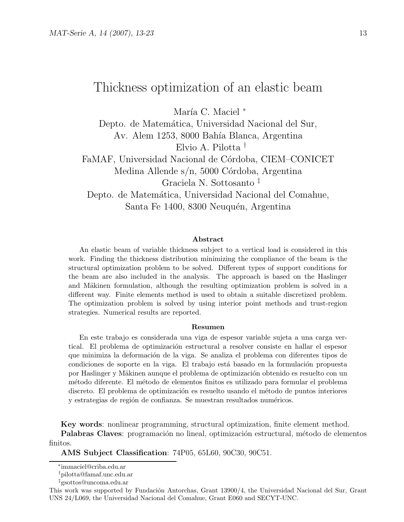## Thickness optimization of an elastic beam

María C. Maciel \*

Depto. de Matemática, Universidad Nacional del Sur, Av. Alem 1253, 8000 Bahía Blanca, Argentina Elvio A. Pilotta †

FaMAF, Universidad Nacional de Córdoba, CIEM–CONICET Medina Allende s/n, 5000 Córdoba, Argentina Graciela N. Sottosanto ‡

Depto. de Matemática, Universidad Nacional del Comahue, Santa Fe 1400, 8300 Neuquén, Argentina

#### Abstract

An elastic beam of variable thickness subject to a vertical load is considered in this work. Finding the thickness distribution minimizing the compliance of the beam is the structural optimization problem to be solved. Different types of support conditions for the beam are also included in the analysis. The approach is based on the Haslinger and Mäkinen formulation, although the resulting optimization problem is solved in a different way. Finite elements method is used to obtain a suitable discretized problem. The optimization problem is solved by using interior point methods and trust-region strategies. Numerical results are reported.

#### Resumen

En este trabajo es considerada una viga de espesor variable sujeta a una carga vertical. El problema de optimización estructural a resolver consiste en hallar el espesor que minimiza la deformación de la viga. Se analiza el problema con diferentes tipos de condiciones de soporte en la viga. El trabajo está basado en la formulación propuesta por Haslinger y Mäkinen aunque el problema de optimización obtenido es resuelto con un m´etodo diferente. El m´etodo de elementos finitos es utilizado para formular el problema discreto. El problema de optimización es resuelto usando el método de puntos interiores y estrategias de región de confianza. Se muestran resultados numéricos.

Key words: nonlinear programming, structural optimization, finite element method. Palabras Claves: programación no lineal, optimización estructural, método de elementos finitos.

AMS Subject Classification: 74P05, 65L60, 90C30, 90C51.

<sup>∗</sup> immaciel@criba.edu.ar

<sup>†</sup>pilotta@famaf.unc.edu.ar

<sup>‡</sup>gsottos@uncoma.edu.ar

This work was supported by Fundación Antorchas, Grant 13900/4, the Universidad Nacional del Sur, Grant UNS 24/L069, the Universidad Nacional del Comahue, Grant E060 and SECYT-UNC.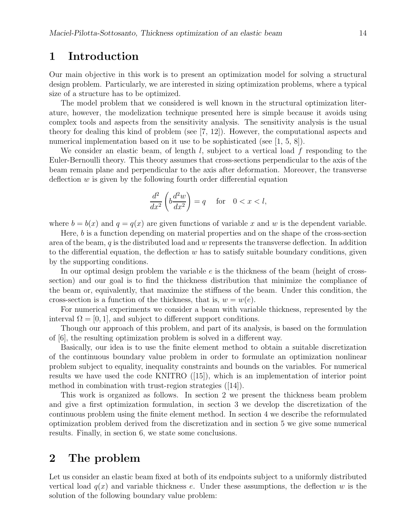## 1 Introduction

Our main objective in this work is to present an optimization model for solving a structural design problem. Particularly, we are interested in sizing optimization problems, where a typical size of a structure has to be optimized.

The model problem that we considered is well known in the structural optimization literature, however, the modelization technique presented here is simple because it avoids using complex tools and aspects from the sensitivity analysis. The sensitivity analysis is the usual theory for dealing this kind of problem (see [7, 12]). However, the computational aspects and numerical implementation based on it use to be sophisticated (see [1, 5, 8]).

We consider an elastic beam, of length  $l$ , subject to a vertical load  $f$  responding to the Euler-Bernoulli theory. This theory assumes that cross-sections perpendicular to the axis of the beam remain plane and perpendicular to the axis after deformation. Moreover, the transverse deflection  $w$  is given by the following fourth order differential equation

$$
\frac{d^2}{dx^2} \left( b \frac{d^2 w}{dx^2} \right) = q \quad \text{for} \quad 0 < x < l,
$$

where  $b = b(x)$  and  $q = q(x)$  are given functions of variable x and w is the dependent variable.

Here, b is a function depending on material properties and on the shape of the cross-section area of the beam,  $q$  is the distributed load and  $w$  represents the transverse deflection. In addition to the differential equation, the deflection  $w$  has to satisfy suitable boundary conditions, given by the supporting conditions.

In our optimal design problem the variable  $e$  is the thickness of the beam (height of crosssection) and our goal is to find the thickness distribution that minimize the compliance of the beam or, equivalently, that maximize the stiffness of the beam. Under this condition, the cross-section is a function of the thickness, that is,  $w = w(e)$ .

For numerical experiments we consider a beam with variable thickness, represented by the interval  $\Omega = [0, 1]$ , and subject to different support conditions.

Though our approach of this problem, and part of its analysis, is based on the formulation of [6], the resulting optimization problem is solved in a different way.

Basically, our idea is to use the finite element method to obtain a suitable discretization of the continuous boundary value problem in order to formulate an optimization nonlinear problem subject to equality, inequality constraints and bounds on the variables. For numerical results we have used the code KNITRO ([15]), which is an implementation of interior point method in combination with trust-region strategies ([14]).

This work is organized as follows. In section 2 we present the thickness beam problem and give a first optimization formulation, in section 3 we develop the discretization of the continuous problem using the finite element method. In section 4 we describe the reformulated optimization problem derived from the discretization and in section 5 we give some numerical results. Finally, in section 6, we state some conclusions.

#### 2 The problem

Let us consider an elastic beam fixed at both of its endpoints subject to a uniformly distributed vertical load  $q(x)$  and variable thickness e. Under these assumptions, the deflection w is the solution of the following boundary value problem: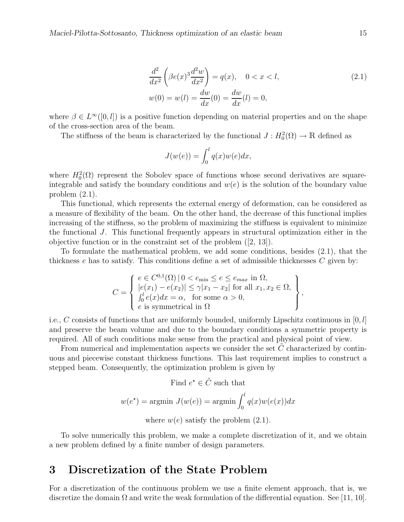$$
\frac{d^2}{dx^2} \left( \beta e(x)^3 \frac{d^2 w}{dx^2} \right) = q(x), \quad 0 < x < l,
$$
\n
$$
w(0) = w(l) = \frac{dw}{dx}(0) = \frac{dw}{dx}(l) = 0,
$$
\n(2.1)

,

where  $\beta \in L^{\infty}([0, l])$  is a positive function depending on material properties and on the shape of the cross-section area of the beam.

The stiffness of the beam is characterized by the functional  $J: H_0^2(\Omega) \to \mathbb{R}$  defined as

$$
J(w(e)) = \int_0^l q(x)w(e)dx,
$$

where  $H_0^2(\Omega)$  represent the Sobolev space of functions whose second derivatives are squareintegrable and satisfy the boundary conditions and  $w(e)$  is the solution of the boundary value problem (2.1).

This functional, which represents the external energy of deformation, can be considered as a measure of flexibility of the beam. On the other hand, the decrease of this functional implies increasing of the stiffness, so the problem of maximizing the stiffness is equivalent to minimize the functional J. This functional frequently appears in structural optimization either in the objective function or in the constraint set of the problem ([2, 13]).

To formulate the mathematical problem, we add some conditions, besides (2.1), that the thickness  $e$  has to satisfy. This conditions define a set of admissible thicknesses  $C$  given by:

$$
C = \left\{ \begin{array}{l} e \in C^{0,1}(\Omega) \mid 0 < e_{\min} \le e \le e_{max} \text{ in } \Omega, \\ |e(x_1) - e(x_2)| \le \gamma |x_1 - x_2| \text{ for all } x_1, x_2 \in \Omega, \\ \int_0^l e(x) dx = \alpha, \text{ for some } \alpha > 0, \\ e \text{ is symmetrical in } \Omega \end{array} \right\}
$$

i.e., C consists of functions that are uniformly bounded, uniformly Lipschitz continuous in  $[0, l]$ and preserve the beam volume and due to the boundary conditions a symmetric property is required. All of such conditions make sense from the practical and physical point of view.

From numerical and implementation aspects we consider the set  $C$  characterized by continuous and piecewise constant thickness functions. This last requirement implies to construct a stepped beam. Consequently, the optimization problem is given by

Find 
$$
e^* \in \tilde{C}
$$
 such that  
\n
$$
w(e^*) = \operatorname{argmin} J(w(e)) = \operatorname{argmin} \int_0^l q(x)w(e(x))dx
$$
\nwhere  $w(e)$  satisfy the problem (2.1).

To solve numerically this problem, we make a complete discretization of it, and we obtain a new problem defined by a finite number of design parameters.

#### 3 Discretization of the State Problem

For a discretization of the continuous problem we use a finite element approach, that is, we discretize the domain  $\Omega$  and write the weak formulation of the differential equation. See [11, 10].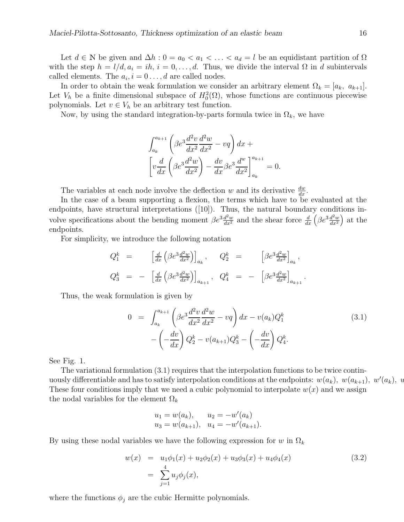Let  $d \in \mathbb{N}$  be given and  $\Delta h : 0 = a_0 < a_1 < \ldots < a_d = l$  be an equidistant partition of  $\Omega$ with the step  $h = l/d, a_i = ih, i = 0, \ldots, d$ . Thus, we divide the interval  $\Omega$  in d subintervals called elements. The  $a_i$ ,  $i = 0 \ldots, d$  are called nodes.

In order to obtain the weak formulation we consider an arbitrary element  $\Omega_k = [a_k, a_{k+1}]$ . Let  $V_h$  be a finite dimensional subspace of  $H_0^2(\Omega)$ , whose functions are continuous piecewise polynomials. Let  $v \in V_h$  be an arbitrary test function.

Now, by using the standard integration-by-parts formula twice in  $\Omega_k$ , we have

$$
\int_{a_k}^{a_{k+1}} \left( \beta e^3 \frac{d^2 v}{dx^2} \frac{d^2 w}{dx^2} - vq \right) dx +
$$
  

$$
\left[ v \frac{d}{dx} \left( \beta e^3 \frac{d^2 w}{dx^2} \right) - \frac{dv}{dx} \beta e^3 \frac{d^w}{dx^2} \right]_{a_k}^{a_{k+1}} = 0.
$$

The variables at each node involve the deflection w and its derivative  $\frac{dw}{dx}$ .

In the case of a beam supporting a flexion, the terms which have to be evaluated at the endpoints, have structural interpretations ([10]). Thus, the natural boundary conditions involve specifications about the bending moment  $\beta e^{3} \frac{d^2 w}{dx^2}$  and the shear force  $\frac{d}{dx} \left( \beta e^{3} \frac{d^2 w}{dx^2} \right)$  $\frac{d^2w}{dx^2}$  at the endpoints.

For simplicity, we introduce the following notation

$$
Q_1^k = \left[\frac{d}{dx}\left(\beta e^3 \frac{d^2 w}{dx^2}\right)\right]_{a_k}, \quad Q_2^k = \left[\beta e^3 \frac{d^2 w}{dx^2}\right]_{a_k},
$$
  

$$
Q_3^k = -\left[\frac{d}{dx}\left(\beta e^3 \frac{d^2 w}{dx^2}\right)\right]_{a_{k+1}}, \quad Q_4^k = -\left[\beta e^3 \frac{d^2 w}{dx^2}\right]_{a_{k+1}}.
$$

Thus, the weak formulation is given by

$$
0 = \int_{a_k}^{a_{k+1}} \left( \beta e^3 \frac{d^2 v}{dx^2} \frac{d^2 w}{dx^2} - vq \right) dx - v(a_k) Q_1^k
$$
  
 
$$
- \left( -\frac{dv}{dx} \right) Q_2^k - v(a_{k+1}) Q_3^k - \left( -\frac{dv}{dx} \right) Q_4^k.
$$
 (3.1)

See Fig. 1.

The variational formulation (3.1) requires that the interpolation functions to be twice continuously differentiable and has to satisfy interpolation conditions at the endpoints:  $w(a_k)$ ,  $w(a_{k+1})$ ,  $w'(a_k)$ ,  $w'(a_k)$ These four conditions imply that we need a cubic polynomial to interpolate  $w(x)$  and we assign the nodal variables for the element  $\Omega_k$ 

$$
u_1 = w(a_k),
$$
  $u_2 = -w'(a_k)$   
\n $u_3 = w(a_{k+1}),$   $u_4 = -w'(a_{k+1}).$ 

By using these nodal variables we have the following expression for w in  $\Omega_k$ 

$$
w(x) = u_1 \phi_1(x) + u_2 \phi_2(x) + u_3 \phi_3(x) + u_4 \phi_4(x)
$$
  
= 
$$
\sum_{j=1}^{4} u_j \phi_j(x),
$$
 (3.2)

where the functions  $\phi_j$  are the cubic Hermitte polynomials.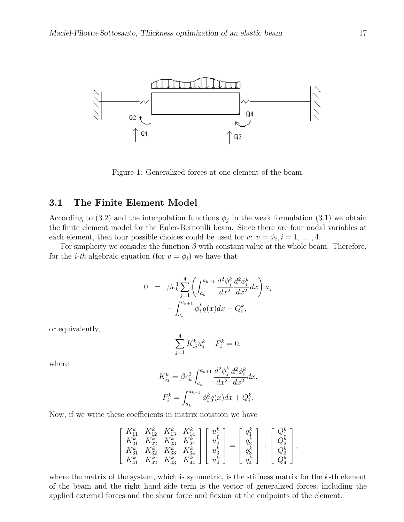

Figure 1: Generalized forces at one element of the beam.

#### 3.1 The Finite Element Model

According to (3.2) and the interpolation functions  $\phi_j$  in the weak formulation (3.1) we obtain the finite element model for the Euler-Bernoulli beam. Since there are four nodal variables at each element, then four possible choices could be used for  $v: v = \phi_i, i = 1, \ldots, 4$ .

For simplicity we consider the function  $\beta$  with constant value at the whole beam. Therefore, for the *i*-th algebraic equation (for  $v = \phi_i$ ) we have that

$$
0 = \beta e_k^3 \sum_{j=1}^4 \left( \int_{a_k}^{a_{k+1}} \frac{d^2 \phi_j^k}{dx^2} \frac{d^2 \phi_i^k}{dx^2} dx \right) u_j
$$

$$
- \int_{a_k}^{a_{k+1}} \phi_i^k q(x) dx - Q_i^k,
$$

or equivalently,

$$
\sum_{j=1}^{4} K_{ij}^{k} u_{j}^{k} - F_{i}^{k} = 0,
$$

where

$$
K_{ij}^k = \beta e_k^3 \int_{a_k}^{a_{k+1}} \frac{d^2 \phi_j^k}{dx^2} \frac{d^2 \phi_i^k}{dx^2} dx,
$$
  

$$
F_i^k = \int_{a_k}^{a_{k+1}} \phi_i^k q(x) dx + Q_i^k.
$$

Now, if we write these coefficients in matrix notation we have

$$
\begin{bmatrix} K_{11}^k & K_{12}^k & K_{13}^k & K_{14}^k \\ K_{21}^k & K_{22}^k & K_{23}^k & K_{24}^k \\ K_{31}^k & K_{32}^k & K_{33}^k & K_{34}^k \\ K_{41}^k & K_{42}^k & K_{43}^k & K_{44}^k \end{bmatrix} \begin{bmatrix} u_1^k \\ u_2^k \\ u_3^k \\ u_4^k \end{bmatrix} = \begin{bmatrix} q_1^k \\ q_2^k \\ q_3^k \\ q_4^k \end{bmatrix} + \begin{bmatrix} Q_1^k \\ Q_2^k \\ Q_3^k \\ Q_4^k \end{bmatrix},
$$

where the matrix of the system, which is symmetric, is the stiffness matrix for the  $k$ -th element of the beam and the right hand side term is the vector of generalized forces, including the applied external forces and the shear force and flexion at the endpoints of the element.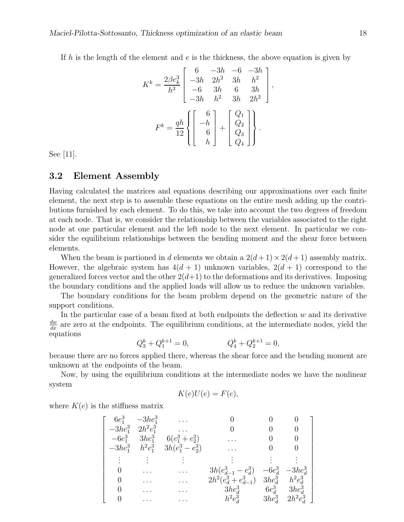If h is the length of the element and  $e$  is the thickness, the above equation is given by

$$
K^{k} = \frac{2\beta e_k^3}{h^3} \begin{bmatrix} 6 & -3h & -6 & -3h \\ -3h & 2h^2 & 3h & h^2 \\ -6 & 3h & 6 & 3h \\ -3h & h^2 & 3h & 2h^2 \end{bmatrix}
$$

$$
F^{k} = \frac{qh}{12} \left\{ \begin{bmatrix} 6 \\ -h \\ 6 \\ h \end{bmatrix} + \begin{bmatrix} Q_1 \\ Q_2 \\ Q_3 \\ Q_4 \end{bmatrix} \right\}.
$$

,

1  $\mathsf{I}$  $\mathbf{I}$  $\mathbf{I}$  $\mathbf{I}$  $\mathbf{I}$  $\mathbf{I}$  $\mathbf{I}$  $\mathbf{I}$  $\mathbf{I}$  $\mathbf{I}$  $\overline{1}$  $\mathbf{I}$  $\mathbf{I}$  $\mathbf{I}$  $\mathbf{I}$  $\mathbf{I}$  $\mathbf{I}$ 

See [11].

#### 3.2 Element Assembly

Having calculated the matrices and equations describing our approximations over each finite element, the next step is to assemble these equations on the entire mesh adding up the contributions furnished by each element. To do this, we take into account the two degrees of freedom at each node. That is, we consider the relationship between the variables associated to the right node at one particular element and the left node to the next element. In particular we consider the equilibrium relationships between the bending moment and the shear force between elements.

When the beam is partioned in d elements we obtain a  $2(d+1) \times 2(d+1)$  assembly matrix. However, the algebraic system has  $4(d + 1)$  unknown variables,  $2(d + 1)$  correspond to the generalized forces vector and the other  $2(d+1)$  to the deformations and its derivatives. Imposing the boundary conditions and the applied loads will allow us to reduce the unknown variables.

The boundary conditions for the beam problem depend on the geometric nature of the support conditions.

In the particular case of a beam fixed at both endpoints the deflection  $w$  and its derivative  $\frac{dw}{dx}$  are zero at the endpoints. The equilibrium conditions, at the intermediate nodes, yield the equations

$$
Q_3^k + Q_1^{k+1} = 0, \qquad \qquad Q_4^k + Q_2^{k+1} = 0,
$$

because there are no forces applied there, whereas the shear force and the bending moment are unknown at the endpoints of the beam.

Now, by using the equilibrium conditions at the intermediate nodes we have the nonlinear system

$$
K(e)U(e) = F(e),
$$

where  $K(e)$  is the stiffness matrix

$$
\left[\begin{array}{ccccc} 6e_1^3 & -3he_1^3 & \dots & 0 & 0 & 0 \\ -3he_1^3 & 2h^2e_1^3 & \dots & 0 & 0 & 0 \\ -6e_1^3 & 3he_1^3 & 6(e_1^3+e_2^3) & \dots & 0 & 0 \\ -3he_1^3 & h^2e_1^3 & 3h(e_1^3-e_2^3) & \dots & 0 & 0 \\ \vdots & \vdots & \vdots & \vdots & \vdots & \vdots \\ 0 & \dots & \dots & 3h(e_{d-1}^3-e_d^3) & -6e_d^3 & -3he_d^3 \\ 0 & \dots & \dots & 2h^2(e_d^3+e_{d-1}^3) & 3he_d^3 & h^2e_d^3 \\ 0 & \dots & \dots & h^2e_d^3 & 3he_d^3 & 2h^2e_d^3 \end{array}\right]
$$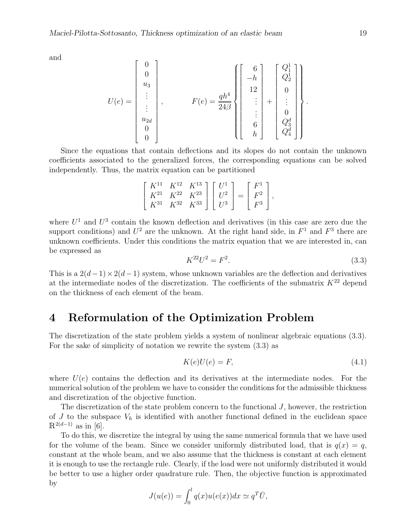and

$$
U(e) = \begin{bmatrix} 0 \\ 0 \\ u_3 \\ \vdots \\ u_{2d} \\ 0 \\ 0 \end{bmatrix}, \qquad \qquad F(e) = \frac{qh^4}{24\beta} \left\{ \begin{bmatrix} 6 \\ -h \\ 12 \\ \vdots \\ 6 \\ 6 \\ h \end{bmatrix} + \begin{bmatrix} Q_1^1 \\ Q_2^1 \\ \vdots \\ 0 \\ Q_3^d \\ Q_4^d \end{bmatrix} \right\}.
$$

Since the equations that contain deflections and its slopes do not contain the unknown coefficients associated to the generalized forces, the corresponding equations can be solved independently. Thus, the matrix equation can be partitioned

$$
\begin{bmatrix} K^{11} & K^{12} & K^{13} \\ K^{21} & K^{22} & K^{23} \\ K^{31} & K^{32} & K^{33} \end{bmatrix} \begin{bmatrix} U^1 \\ U^2 \\ U^3 \end{bmatrix} = \begin{bmatrix} F^1 \\ F^2 \\ F^3 \end{bmatrix},
$$

where  $U^1$  and  $U^3$  contain the known deflection and derivatives (in this case are zero due the support conditions) and  $U^2$  are the unknown. At the right hand side, in  $F^1$  and  $F^3$  there are unknown coefficients. Under this conditions the matrix equation that we are interested in, can be expressed as

$$
K^{22}U^2 = F^2.
$$
\n(3.3)

This is a  $2(d-1) \times 2(d-1)$  system, whose unknown variables are the deflection and derivatives at the intermediate nodes of the discretization. The coefficients of the submatrix  $K^{22}$  depend on the thickness of each element of the beam.

#### 4 Reformulation of the Optimization Problem

The discretization of the state problem yields a system of nonlinear algebraic equations (3.3). For the sake of simplicity of notation we rewrite the system (3.3) as

$$
K(e)U(e) = F,\t\t(4.1)
$$

where  $U(e)$  contains the deflection and its derivatives at the intermediate nodes. For the numerical solution of the problem we have to consider the conditions for the admissible thickness and discretization of the objective function.

The discretization of the state problem concern to the functional  $J$ , however, the restriction of  $J$  to the subspace  $V_h$  is identified with another functional defined in the euclidean space  $\mathbb{R}^{2(d-1)}$  as in [6].

To do this, we discretize the integral by using the same numerical formula that we have used for the volume of the beam. Since we consider uniformly distributed load, that is  $q(x) = q$ , constant at the whole beam, and we also assume that the thickness is constant at each element it is enough to use the rectangle rule. Clearly, if the load were not uniformly distributed it would be better to use a higher order quadrature rule. Then, the objective function is approximated by

$$
J(u(e)) = \int_0^l q(x)u(e(x))dx \simeq q^T\bar{U},
$$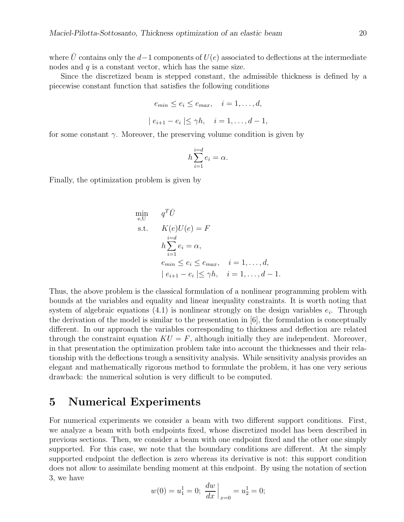where  $\bar{U}$  contains only the d−1 components of  $U(e)$  associated to deflections at the intermediate nodes and  $q$  is a constant vector, which has the same size.

Since the discretized beam is stepped constant, the admissible thickness is defined by a piecewise constant function that satisfies the following conditions

$$
e_{min} \le e_i \le e_{max}, \quad i = 1, \dots, d,
$$
  

$$
|e_{i+1} - e_i| \le \gamma h, \quad i = 1, \dots, d-1,
$$

for some constant  $\gamma$ . Moreover, the preserving volume condition is given by

$$
h\sum_{i=1}^{i=d}e_i=\alpha.
$$

Finally, the optimization problem is given by

$$
\min_{e,U} q^T \bar{U}
$$
\n
$$
\text{s.t.} \quad K(e)U(e) = F
$$
\n
$$
h \sum_{i=1}^{i=d} e_i = \alpha,
$$
\n
$$
e_{min} \le e_i \le e_{max}, \quad i = 1, \dots, d,
$$
\n
$$
|e_{i+1} - e_i| \le \gamma h, \quad i = 1, \dots, d - 1.
$$

Thus, the above problem is the classical formulation of a nonlinear programming problem with bounds at the variables and equality and linear inequality constraints. It is worth noting that system of algebraic equations  $(4.1)$  is nonlinear strongly on the design variables  $e_i$ . Through the derivation of the model is similar to the presentation in [6], the formulation is conceptually different. In our approach the variables corresponding to thickness and deflection are related through the constraint equation  $KU = F$ , although initially they are independent. Moreover, in that presentation the optimization problem take into account the thicknesses and their relationship with the deflections trough a sensitivity analysis. While sensitivity analysis provides an elegant and mathematically rigorous method to formulate the problem, it has one very serious drawback: the numerical solution is very difficult to be computed.

#### 5 Numerical Experiments

For numerical experiments we consider a beam with two different support conditions. First, we analyze a beam with both endpoints fixed, whose discretized model has been described in previous sections. Then, we consider a beam with one endpoint fixed and the other one simply supported. For this case, we note that the boundary conditions are different. At the simply supported endpoint the deflection is zero whereas its derivative is not: this support condition does not allow to assimilate bending moment at this endpoint. By using the notation of section 3, we have

$$
w(0) = u_1^1 = 0;
$$
  $\frac{dw}{dx}\Big|_{x=0} = u_2^1 = 0;$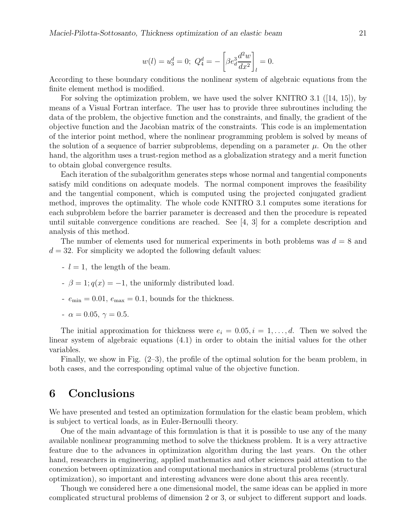$$
w(l) = u_3^d = 0; \ Q_4^d = -\left[\beta e_d^3 \frac{d^2 w}{dx^2}\right]_l = 0.
$$

According to these boundary conditions the nonlinear system of algebraic equations from the finite element method is modified.

For solving the optimization problem, we have used the solver KNITRO 3.1 ([14, 15]), by means of a Visual Fortran interface. The user has to provide three subroutines including the data of the problem, the objective function and the constraints, and finally, the gradient of the objective function and the Jacobian matrix of the constraints. This code is an implementation of the interior point method, where the nonlinear programming problem is solved by means of the solution of a sequence of barrier subproblems, depending on a parameter  $\mu$ . On the other hand, the algorithm uses a trust-region method as a globalization strategy and a merit function to obtain global convergence results.

Each iteration of the subalgorithm generates steps whose normal and tangential components satisfy mild conditions on adequate models. The normal component improves the feasibility and the tangential component, which is computed using the projected conjugated gradient method, improves the optimality. The whole code KNITRO 3.1 computes some iterations for each subproblem before the barrier parameter is decreased and then the procedure is repeated until suitable convergence conditions are reached. See [4, 3] for a complete description and analysis of this method.

The number of elements used for numerical experiments in both problems was  $d = 8$  and  $d = 32$ . For simplicity we adopted the following default values:

- $-l = 1$ , the length of the beam.
- $\beta = 1; q(x) = -1$ , the uniformly distributed load.
- $e_{\min} = 0.01, e_{\max} = 0.1$ , bounds for the thickness.
- $\alpha = 0.05, \gamma = 0.5.$

The initial approximation for thickness were  $e_i = 0.05, i = 1, \ldots, d$ . Then we solved the linear system of algebraic equations (4.1) in order to obtain the initial values for the other variables.

Finally, we show in Fig. (2–3), the profile of the optimal solution for the beam problem, in both cases, and the corresponding optimal value of the objective function.

## 6 Conclusions

We have presented and tested an optimization formulation for the elastic beam problem, which is subject to vertical loads, as in Euler-Bernoulli theory.

One of the main advantage of this formulation is that it is possible to use any of the many available nonlinear programming method to solve the thickness problem. It is a very attractive feature due to the advances in optimization algorithm during the last years. On the other hand, researchers in engineering, applied mathematics and other sciences paid attention to the conexion between optimization and computational mechanics in structural problems (structural optimization), so important and interesting advances were done about this area recently.

Though we considered here a one dimensional model, the same ideas can be applied in more complicated structural problems of dimension 2 or 3, or subject to different support and loads.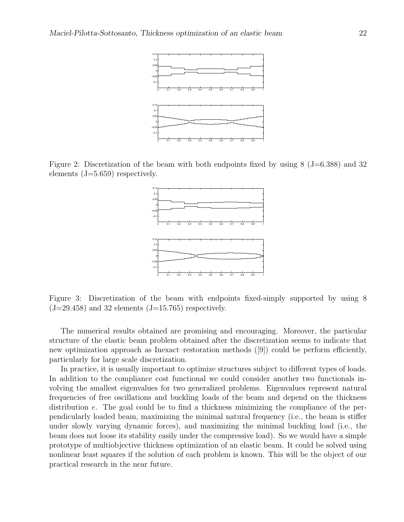

Figure 2: Discretization of the beam with both endpoints fixed by using 8 (J=6.388) and 32 elements (J=5.659) respectively.



Figure 3: Discretization of the beam with endpoints fixed-simply supported by using 8  $(J=29.458)$  and 32 elements  $(J=15.765)$  respectively.

The numerical results obtained are promising and encouraging. Moreover, the particular structure of the elastic beam problem obtained after the discretization seems to indicate that new optimization approach as Inexact–restoration methods ([9]) could be perform efficiently, particularly for large scale discretization.

In practice, it is usually important to optimize structures subject to different types of loads. In addition to the compliance cost functional we could consider another two functionals involving the smallest eigenvalues for two generalized problems. Eigenvalues represent natural frequencies of free oscillations and buckling loads of the beam and depend on the thickness distribution e. The goal could be to find a thickness minimizing the compliance of the perpendicularly loaded beam, maximizing the minimal natural frequency (i.e., the beam is stiffer under slowly varying dynamic forces), and maximizing the minimal buckling load (i.e., the beam does not loose its stability easily under the compressive load). So we would have a simple prototype of multiobjective thickness optimization of an elastic beam. It could be solved using nonlinear least squares if the solution of each problem is known. This will be the object of our practical research in the near future.